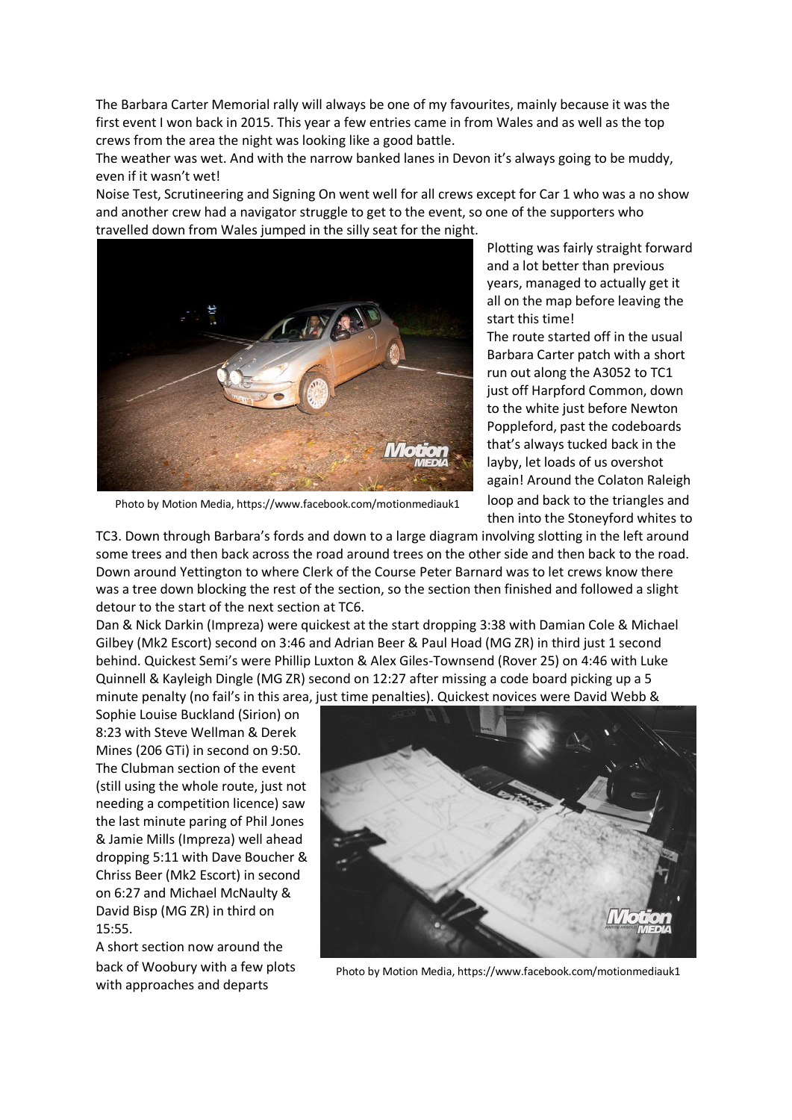The Barbara Carter Memorial rally will always be one of my favourites, mainly because it was the first event I won back in 2015. This year a few entries came in from Wales and as well as the top crews from the area the night was looking like a good battle.

The weather was wet. And with the narrow banked lanes in Devon it's always going to be muddy, even if it wasn't wet!

Noise Test, Scrutineering and Signing On went well for all crews except for Car 1 who was a no show and another crew had a navigator struggle to get to the event, so one of the supporters who travelled down from Wales jumped in the silly seat for the night.



Photo by Motion Media, https://www.facebook.com/motionmediauk1

Plotting was fairly straight forward and a lot better than previous years, managed to actually get it all on the map before leaving the start this time!

The route started off in the usual Barbara Carter patch with a short run out along the A3052 to TC1 just off Harpford Common, down to the white just before Newton Poppleford, past the codeboards that's always tucked back in the layby, let loads of us overshot again! Around the Colaton Raleigh loop and back to the triangles and then into the Stoneyford whites to

TC3. Down through Barbara's fords and down to a large diagram involving slotting in the left around some trees and then back across the road around trees on the other side and then back to the road. Down around Yettington to where Clerk of the Course Peter Barnard was to let crews know there was a tree down blocking the rest of the section, so the section then finished and followed a slight detour to the start of the next section at TC6.

Dan & Nick Darkin (Impreza) were quickest at the start dropping 3:38 with Damian Cole & Michael Gilbey (Mk2 Escort) second on 3:46 and Adrian Beer & Paul Hoad (MG ZR) in third just 1 second behind. Quickest Semi's were Phillip Luxton & Alex Giles-Townsend (Rover 25) on 4:46 with Luke Quinnell & Kayleigh Dingle (MG ZR) second on 12:27 after missing a code board picking up a 5 minute penalty (no fail's in this area, just time penalties). Quickest novices were David Webb &

Sophie Louise Buckland (Sirion) on 8:23 with Steve Wellman & Derek Mines (206 GTi) in second on 9:50. The Clubman section of the event (still using the whole route, just not needing a competition licence) saw the last minute paring of Phil Jones & Jamie Mills (Impreza) well ahead dropping 5:11 with Dave Boucher & Chriss Beer (Mk2 Escort) in second on 6:27 and Michael McNaulty & David Bisp (MG ZR) in third on 15:55.

A short section now around the back of Woobury with a few plots with approaches and departs



Photo by Motion Media, https://www.facebook.com/motionmediauk1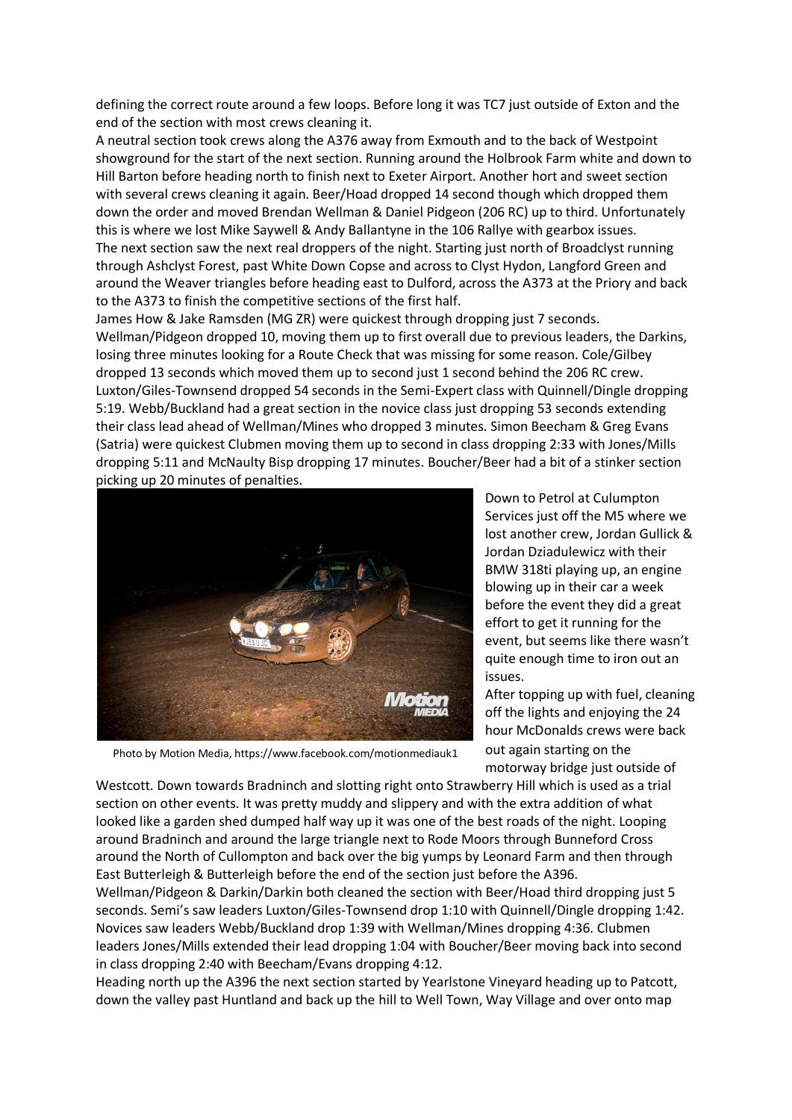defining the correct route around a few loops. Before long it was TC7 just outside of Exton and the end of the section with most crews cleaning it.

A neutral section took crews along the A376 away from Exmouth and to the back of Westpoint showground for the start of the next section. Running around the Holbrook Farm white and down to Hill Barton before heading north to finish next to Exeter Airport. Another hort and sweet section with several crews cleaning it again. Beer/Hoad dropped 14 second though which dropped them down the order and moved Brendan Wellman & Daniel Pidgeon (206 RC) up to third. Unfortunately this is where we lost Mike Saywell & Andy Ballantyne in the 106 Rallye with gearbox issues. The next section saw the next real droppers of the night. Starting just north of Broadclyst running through Ashclyst Forest, past White Down Copse and across to Clyst Hydon, Langford Green and around the Weaver triangles before heading east to Dulford, across the A373 at the Priory and back to the A373 to finish the competitive sections of the first half.

James How & Jake Ramsden (MG ZR) were quickest through dropping just 7 seconds. Wellman/Pidgeon dropped 10, moving them up to first overall due to previous leaders, the Darkins, losing three minutes looking for a Route Check that was missing for some reason. Cole/Gilbey dropped 13 seconds which moved them up to second just 1 second behind the 206 RC crew. Luxton/Giles-Townsend dropped 54 seconds in the Semi-Expert class with Quinnell/Dingle dropping 5:19. Webb/Buckland had a great section in the novice class just dropping 53 seconds extending their class lead ahead of Wellman/Mines who dropped 3 minutes. Simon Beecham & Greg Evans (Satria) were quickest Clubmen moving them up to second in class dropping 2:33 with Jones/Mills dropping 5:11 and McNaulty Bisp dropping 17 minutes. Boucher/Beer had a bit of a stinker section picking up 20 minutes of penalties.



Down to Petrol at Culumpton Services just off the M5 where we lost another crew, Jordan Gullick & Jordan Dziadulewicz with their BMW 318ti playing up, an engine blowing up in their car a week before the event they did a great effort to get it running for the event, but seems like there wasn't quite enough time to iron out an issues.

After topping up with fuel, cleaning off the lights and enjoying the 24 hour McDonalds crews were back out again starting on the motorway bridge just outside of

Photo by Motion Media, https://www.facebook.com/motionmediauk1

Westcott. Down towards Bradninch and slotting right onto Strawberry Hill which is used as a trial section on other events. It was pretty muddy and slippery and with the extra addition of what looked like a garden shed dumped half way up it was one of the best roads of the night. Looping around Bradninch and around the large triangle next to Rode Moors through Bunneford Cross around the North of Cullompton and back over the big yumps by Leonard Farm and then through East Butterleigh & Butterleigh before the end of the section just before the A396.

Wellman/Pidgeon & Darkin/Darkin both cleaned the section with Beer/Hoad third dropping just 5 seconds. Semi's saw leaders Luxton/Giles-Townsend drop 1:10 with Quinnell/Dingle dropping 1:42. Novices saw leaders Webb/Buckland drop 1:39 with Wellman/Mines dropping 4:36. Clubmen leaders Jones/Mills extended their lead dropping 1:04 with Boucher/Beer moving back into second in class dropping 2:40 with Beecham/Evans dropping 4:12.

Heading north up the A396 the next section started by Yearlstone Vineyard heading up to Patcott, down the valley past Huntland and back up the hill to Well Town, Way Village and over onto map